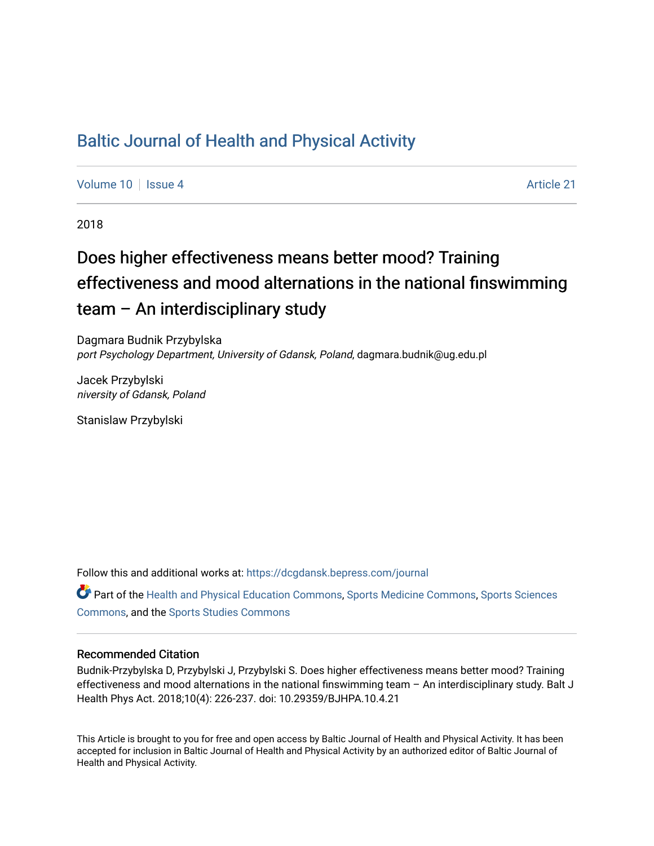# [Baltic Journal of Health and Physical Activity](https://dcgdansk.bepress.com/journal)

[Volume 10](https://dcgdansk.bepress.com/journal/vol10) | [Issue 4](https://dcgdansk.bepress.com/journal/vol10/iss4) Article 21

2018

# Does higher effectiveness means better mood? Training effectiveness and mood alternations in the national finswimming team – An interdisciplinary study

Dagmara Budnik Przybylska port Psychology Department, University of Gdansk, Poland, dagmara.budnik@ug.edu.pl

Jacek Przybylski niversity of Gdansk, Poland

Stanislaw Przybylski

Follow this and additional works at: [https://dcgdansk.bepress.com/journal](https://dcgdansk.bepress.com/journal?utm_source=dcgdansk.bepress.com%2Fjournal%2Fvol10%2Fiss4%2F21&utm_medium=PDF&utm_campaign=PDFCoverPages)

Part of the [Health and Physical Education Commons](http://network.bepress.com/hgg/discipline/1327?utm_source=dcgdansk.bepress.com%2Fjournal%2Fvol10%2Fiss4%2F21&utm_medium=PDF&utm_campaign=PDFCoverPages), [Sports Medicine Commons,](http://network.bepress.com/hgg/discipline/1331?utm_source=dcgdansk.bepress.com%2Fjournal%2Fvol10%2Fiss4%2F21&utm_medium=PDF&utm_campaign=PDFCoverPages) [Sports Sciences](http://network.bepress.com/hgg/discipline/759?utm_source=dcgdansk.bepress.com%2Fjournal%2Fvol10%2Fiss4%2F21&utm_medium=PDF&utm_campaign=PDFCoverPages) [Commons](http://network.bepress.com/hgg/discipline/759?utm_source=dcgdansk.bepress.com%2Fjournal%2Fvol10%2Fiss4%2F21&utm_medium=PDF&utm_campaign=PDFCoverPages), and the [Sports Studies Commons](http://network.bepress.com/hgg/discipline/1198?utm_source=dcgdansk.bepress.com%2Fjournal%2Fvol10%2Fiss4%2F21&utm_medium=PDF&utm_campaign=PDFCoverPages) 

#### Recommended Citation

Budnik-Przybylska D, Przybylski J, Przybylski S. Does higher effectiveness means better mood? Training effectiveness and mood alternations in the national finswimming team – An interdisciplinary study. Balt J Health Phys Act. 2018;10(4): 226-237. doi: 10.29359/BJHPA.10.4.21

This Article is brought to you for free and open access by Baltic Journal of Health and Physical Activity. It has been accepted for inclusion in Baltic Journal of Health and Physical Activity by an authorized editor of Baltic Journal of Health and Physical Activity.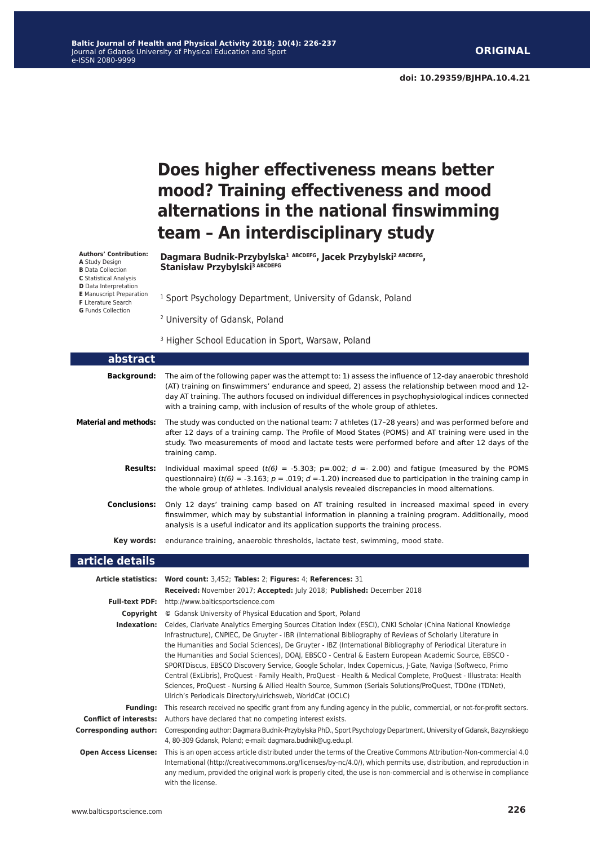**doi: 10.29359/BJHPA.10.4.21**

# **Does higher effectiveness means better mood? Training effectiveness and mood alternations in the national finswimming team – An interdisciplinary study**

**Dagmara Budnik-Przybylska<sup>1</sup> ABCDEFG, Jacek Przybylski2 ABCDEFG,**  Stanisław Przybylski<sup>3 ABCDEFG</sup>

<sup>1</sup> Sport Psychology Department, University of Gdansk, Poland

- 2 University of Gdansk, Poland
- <sup>3</sup> Higher School Education in Sport, Warsaw, Poland

| abstract                     |                                                                                                                                                                                                                                                                                                                                                                                                                                                                                                                                                                                                                                                                                                                                                                                                                                                                           |
|------------------------------|---------------------------------------------------------------------------------------------------------------------------------------------------------------------------------------------------------------------------------------------------------------------------------------------------------------------------------------------------------------------------------------------------------------------------------------------------------------------------------------------------------------------------------------------------------------------------------------------------------------------------------------------------------------------------------------------------------------------------------------------------------------------------------------------------------------------------------------------------------------------------|
| <b>Background:</b>           | The aim of the following paper was the attempt to: 1) assess the influence of 12-day anaerobic threshold<br>(AT) training on finswimmers' endurance and speed, 2) assess the relationship between mood and 12-<br>day AT training. The authors focused on individual differences in psychophysiological indices connected<br>with a training camp, with inclusion of results of the whole group of athletes.                                                                                                                                                                                                                                                                                                                                                                                                                                                              |
| <b>Material and methods:</b> | The study was conducted on the national team: 7 athletes (17-28 years) and was performed before and<br>after 12 days of a training camp. The Profile of Mood States (POMS) and AT training were used in the<br>study. Two measurements of mood and lactate tests were performed before and after 12 days of the<br>training camp.                                                                                                                                                                                                                                                                                                                                                                                                                                                                                                                                         |
| <b>Results:</b>              | Individual maximal speed ( $t(6) = -5.303$ ; p=.002; d = - 2.00) and fatigue (measured by the POMS<br>questionnaire) ( $t(6) = -3.163$ ; $p = .019$ ; $d = -1.20$ ) increased due to participation in the training camp in<br>the whole group of athletes. Individual analysis revealed discrepancies in mood alternations.                                                                                                                                                                                                                                                                                                                                                                                                                                                                                                                                               |
| <b>Conclusions:</b>          | Only 12 days' training camp based on AT training resulted in increased maximal speed in every<br>finswimmer, which may by substantial information in planning a training program. Additionally, mood<br>analysis is a useful indicator and its application supports the training process.                                                                                                                                                                                                                                                                                                                                                                                                                                                                                                                                                                                 |
| Key words:                   | endurance training, anaerobic thresholds, lactate test, swimming, mood state.                                                                                                                                                                                                                                                                                                                                                                                                                                                                                                                                                                                                                                                                                                                                                                                             |
|                              |                                                                                                                                                                                                                                                                                                                                                                                                                                                                                                                                                                                                                                                                                                                                                                                                                                                                           |
| article details              |                                                                                                                                                                                                                                                                                                                                                                                                                                                                                                                                                                                                                                                                                                                                                                                                                                                                           |
|                              | Article statistics: Word count: 3,452; Tables: 2; Figures: 4; References: 31                                                                                                                                                                                                                                                                                                                                                                                                                                                                                                                                                                                                                                                                                                                                                                                              |
|                              | Received: November 2017; Accepted: July 2018; Published: December 2018                                                                                                                                                                                                                                                                                                                                                                                                                                                                                                                                                                                                                                                                                                                                                                                                    |
| <b>Full-text PDF:</b>        | http://www.balticsportscience.com                                                                                                                                                                                                                                                                                                                                                                                                                                                                                                                                                                                                                                                                                                                                                                                                                                         |
|                              | <b>Copyright</b> © Gdansk University of Physical Education and Sport, Poland                                                                                                                                                                                                                                                                                                                                                                                                                                                                                                                                                                                                                                                                                                                                                                                              |
|                              | Indexation: Celdes, Clarivate Analytics Emerging Sources Citation Index (ESCI), CNKI Scholar (China National Knowledge<br>Infrastructure), CNPIEC, De Gruyter - IBR (International Bibliography of Reviews of Scholarly Literature in<br>the Humanities and Social Sciences), De Gruyter - IBZ (International Bibliography of Periodical Literature in<br>the Humanities and Social Sciences), DOAI, EBSCO - Central & Eastern European Academic Source, EBSCO -<br>SPORTDiscus, EBSCO Discovery Service, Google Scholar, Index Copernicus, J-Gate, Naviga (Softweco, Primo<br>Central (ExLibris), ProQuest - Family Health, ProQuest - Health & Medical Complete, ProQuest - Illustrata: Health<br>Sciences, ProQuest - Nursing & Allied Health Source, Summon (Serials Solutions/ProQuest, TDOne (TDNet),<br>Ulrich's Periodicals Directory/ulrichsweb, WorldCat (OCLC) |
| <b>Funding:</b>              | This research received no specific grant from any funding agency in the public, commercial, or not-for-profit sectors.                                                                                                                                                                                                                                                                                                                                                                                                                                                                                                                                                                                                                                                                                                                                                    |
|                              | <b>Conflict of interests:</b> Authors have declared that no competing interest exists.                                                                                                                                                                                                                                                                                                                                                                                                                                                                                                                                                                                                                                                                                                                                                                                    |

**Open Access License:** This is an open access article distributed under the terms of the Creative Commons Attribution-Non-commercial 4.0 International (http://creativecommons.org/licenses/by-nc/4.0/), which permits use, distribution, and reproduction in any medium, provided the original work is properly cited, the use is non-commercial and is otherwise in compliance with the license.

**Authors' Contribution: A** Study Design **B** Data Collection **C** Statistical Analysis **D** Data Interpretation **E** Manuscript Preparation **F** Literature Search **G** Funds Collection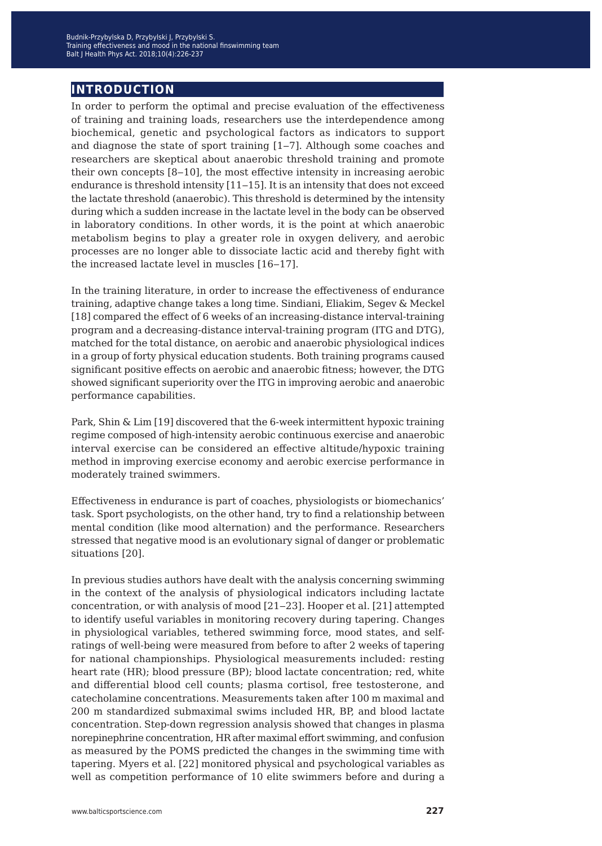# **introduction**

In order to perform the optimal and precise evaluation of the effectiveness of training and training loads, researchers use the interdependence among biochemical, genetic and psychological factors as indicators to support and diagnose the state of sport training  $[1-7]$ . Although some coaches and researchers are skeptical about anaerobic threshold training and promote their own concepts  $[8-10]$ , the most effective intensity in increasing aerobic endurance is threshold intensity  $[11-15]$ . It is an intensity that does not exceed the lactate threshold (anaerobic). This threshold is determined by the intensity during which a sudden increase in the lactate level in the body can be observed in laboratory conditions. In other words, it is the point at which anaerobic metabolism begins to play a greater role in oxygen delivery, and aerobic processes are no longer able to dissociate lactic acid and thereby fight with the increased lactate level in muscles [16–17].

In the training literature, in order to increase the effectiveness of endurance training, adaptive change takes a long time. Sindiani, Eliakim, Segev & Meckel [18] compared the effect of 6 weeks of an increasing-distance interval-training program and a decreasing-distance interval-training program (ITG and DTG), matched for the total distance, on aerobic and anaerobic physiological indices in a group of forty physical education students. Both training programs caused significant positive effects on aerobic and anaerobic fitness; however, the DTG showed significant superiority over the ITG in improving aerobic and anaerobic performance capabilities.

Park, Shin & Lim [19] discovered that the 6-week intermittent hypoxic training regime composed of high-intensity aerobic continuous exercise and anaerobic interval exercise can be considered an effective altitude/hypoxic training method in improving exercise economy and aerobic exercise performance in moderately trained swimmers.

Effectiveness in endurance is part of coaches, physiologists or biomechanics' task. Sport psychologists, on the other hand, try to find a relationship between mental condition (like mood alternation) and the performance. Researchers stressed that negative mood is an evolutionary signal of danger or problematic situations [20].

In previous studies authors have dealt with the analysis concerning swimming in the context of the analysis of physiological indicators including lactate concentration, or with analysis of mood [21‒23]. Hooper et al. [21] attempted to identify useful variables in monitoring recovery during tapering. Changes in physiological variables, tethered swimming force, mood states, and selfratings of well-being were measured from before to after 2 weeks of tapering for national championships. Physiological measurements included: resting heart rate (HR); blood pressure (BP); blood lactate concentration; red, white and differential blood cell counts; plasma cortisol, free testosterone, and catecholamine concentrations. Measurements taken after 100 m maximal and 200 m standardized submaximal swims included HR, BP, and blood lactate concentration. Step-down regression analysis showed that changes in plasma norepinephrine concentration, HR after maximal effort swimming, and confusion as measured by the POMS predicted the changes in the swimming time with tapering. Myers et al. [22] monitored physical and psychological variables as well as competition performance of 10 elite swimmers before and during a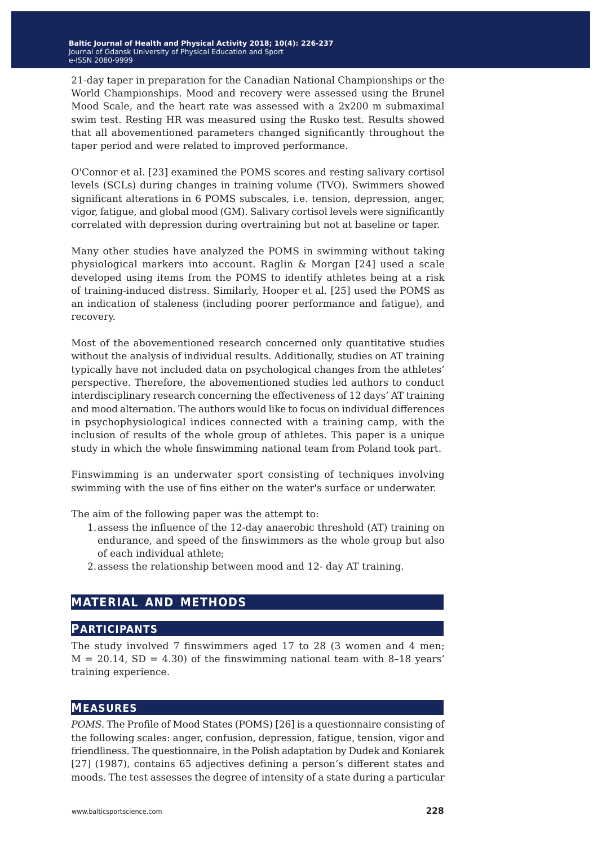21-day taper in preparation for the Canadian National Championships or the World Championships. Mood and recovery were assessed using the Brunel Mood Scale, and the heart rate was assessed with a 2x200 m submaximal swim test. Resting HR was measured using the Rusko test. Results showed that all abovementioned parameters changed significantly throughout the taper period and were related to improved performance.

O'Connor et al. [23] examined the POMS scores and resting salivary cortisol levels (SCLs) during changes in training volume (TVO). Swimmers showed significant alterations in 6 POMS subscales, i.e. tension, depression, anger, vigor, fatigue, and global mood (GM). Salivary cortisol levels were significantly correlated with depression during overtraining but not at baseline or taper.

Many other studies have analyzed the POMS in swimming without taking physiological markers into account. Raglin & Morgan [24] used a scale developed using items from the POMS to identify athletes being at a risk of training-induced distress. Similarly, Hooper et al. [25] used the POMS as an indication of staleness (including poorer performance and fatigue), and recovery.

Most of the abovementioned research concerned only quantitative studies without the analysis of individual results. Additionally, studies on AT training typically have not included data on psychological changes from the athletes' perspective. Therefore, the abovementioned studies led authors to conduct interdisciplinary research concerning the effectiveness of 12 days' AT training and mood alternation. The authors would like to focus on individual differences in psychophysiological indices connected with a training camp, with the inclusion of results of the whole group of athletes. This paper is a unique study in which the whole finswimming national team from Poland took part.

Finswimming is an underwater sport consisting of techniques involving swimming with the use of fins either on the water's surface or underwater.

The aim of the following paper was the attempt to:

- 1.assess the influence of the 12-day anaerobic threshold (AT) training on endurance, and speed of the finswimmers as the whole group but also of each individual athlete;
- 2.assess the relationship between mood and 12- day AT training.

# **material and methods**

#### **participants**

The study involved 7 finswimmers aged 17 to 28 (3 women and 4 men;  $M = 20.14$ , SD = 4.30) of the finswimming national team with 8-18 years' training experience.

#### **measures**

*POMS.* The Profile of Mood States (POMS) [26] is a questionnaire consisting of the following scales: anger, confusion, depression, fatigue, tension, vigor and friendliness. The questionnaire, in the Polish adaptation by Dudek and Koniarek [27] (1987), contains 65 adjectives defining a person's different states and moods. The test assesses the degree of intensity of a state during a particular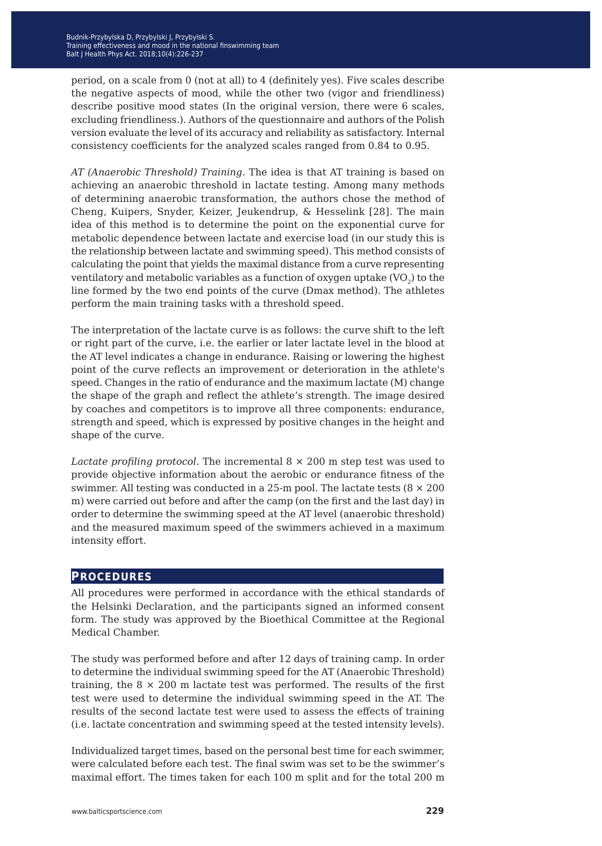period, on a scale from 0 (not at all) to 4 (definitely yes). Five scales describe the negative aspects of mood, while the other two (vigor and friendliness) describe positive mood states (In the original version, there were 6 scales, excluding friendliness.). Authors of the questionnaire and authors of the Polish version evaluate the level of its accuracy and reliability as satisfactory. Internal consistency coefficients for the analyzed scales ranged from 0.84 to 0.95.

*AT (Anaerobic Threshold) Training.* The idea is that AT training is based on achieving an anaerobic threshold in lactate testing. Among many methods of determining anaerobic transformation, the authors chose the method of Cheng, Kuipers, Snyder, Keizer, Jeukendrup, & Hesselink [28]. The main idea of this method is to determine the point on the exponential curve for metabolic dependence between lactate and exercise load (in our study this is the relationship between lactate and swimming speed). This method consists of calculating the point that yields the maximal distance from a curve representing ventilatory and metabolic variables as a function of oxygen uptake  $(VO<sub>2</sub>)$  to the line formed by the two end points of the curve (Dmax method). The athletes perform the main training tasks with a threshold speed.

The interpretation of the lactate curve is as follows: the curve shift to the left or right part of the curve, i.e. the earlier or later lactate level in the blood at the AT level indicates a change in endurance. Raising or lowering the highest point of the curve reflects an improvement or deterioration in the athlete's speed. Changes in the ratio of endurance and the maximum lactate (M) change the shape of the graph and reflect the athlete's strength. The image desired by coaches and competitors is to improve all three components: endurance, strength and speed, which is expressed by positive changes in the height and shape of the curve.

*Lactate profiling protocol.* The incremental 8 × 200 m step test was used to provide objective information about the aerobic or endurance fitness of the swimmer. All testing was conducted in a 25-m pool. The lactate tests  $(8 \times 200)$ m) were carried out before and after the camp (on the first and the last day) in order to determine the swimming speed at the AT level (anaerobic threshold) and the measured maximum speed of the swimmers achieved in a maximum intensity effort.

#### **procedures**

All procedures were performed in accordance with the ethical standards of the Helsinki Declaration, and the participants signed an informed consent form. The study was approved by the Bioethical Committee at the Regional Medical Chamber.

The study was performed before and after 12 days of training camp. In order to determine the individual swimming speed for the AT (Anaerobic Threshold) training, the  $8 \times 200$  m lactate test was performed. The results of the first test were used to determine the individual swimming speed in the AT. The results of the second lactate test were used to assess the effects of training (i.e. lactate concentration and swimming speed at the tested intensity levels).

Individualized target times, based on the personal best time for each swimmer, were calculated before each test. The final swim was set to be the swimmer's maximal effort. The times taken for each 100 m split and for the total 200 m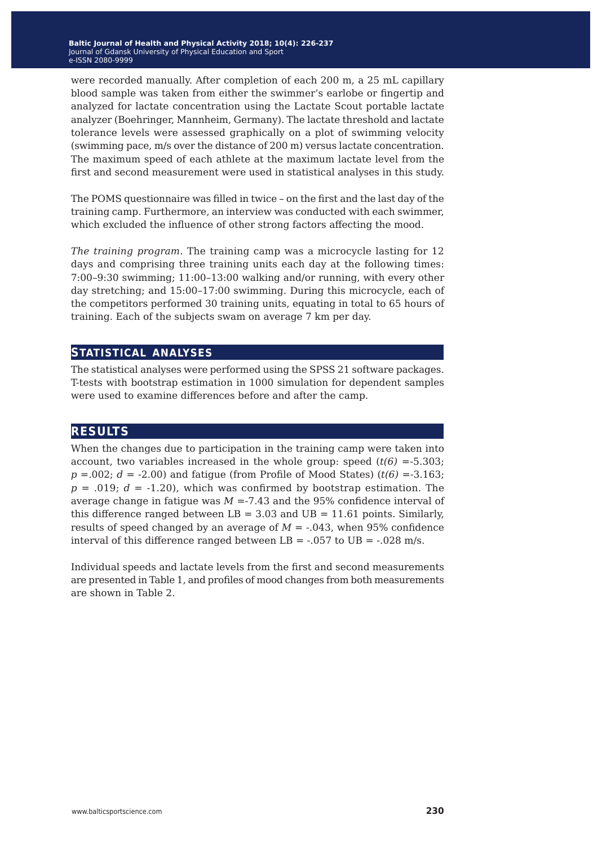were recorded manually. After completion of each 200 m, a 25 mL capillary blood sample was taken from either the swimmer's earlobe or fingertip and analyzed for lactate concentration using the Lactate Scout portable lactate analyzer (Boehringer, Mannheim, Germany). The lactate threshold and lactate tolerance levels were assessed graphically on a plot of swimming velocity (swimming pace, m/s over the distance of 200 m) versus lactate concentration. The maximum speed of each athlete at the maximum lactate level from the first and second measurement were used in statistical analyses in this study.

The POMS questionnaire was filled in twice – on the first and the last day of the training camp. Furthermore, an interview was conducted with each swimmer, which excluded the influence of other strong factors affecting the mood.

*The training program.* The training camp was a microcycle lasting for 12 days and comprising three training units each day at the following times: 7:00–9:30 swimming; 11:00–13:00 walking and/or running, with every other day stretching; and 15:00–17:00 swimming. During this microcycle, each of the competitors performed 30 training units, equating in total to 65 hours of training. Each of the subjects swam on average 7 km per day.

### **statistical analyses**

The statistical analyses were performed using the SPSS 21 software packages. T-tests with bootstrap estimation in 1000 simulation for dependent samples were used to examine differences before and after the camp.

# **results**

When the changes due to participation in the training camp were taken into account, two variables increased in the whole group: speed  $(t(6) = -5.303)$ ;  $p = .002$ ;  $d = -2.00$ ) and fatigue (from Profile of Mood States) ( $t(6) = -3.163$ ;  $p = .019$ ;  $d = .1.20$ ), which was confirmed by bootstrap estimation. The average change in fatigue was *M* =-7.43 and the 95% confidence interval of this difference ranged between  $LB = 3.03$  and  $UB = 11.61$  points. Similarly, results of speed changed by an average of  $M = -0.043$ , when 95% confidence interval of this difference ranged between  $LB = -.057$  to  $UB = -.028$  m/s.

Individual speeds and lactate levels from the first and second measurements are presented in Table 1, and profiles of mood changes from both measurements are shown in Table 2.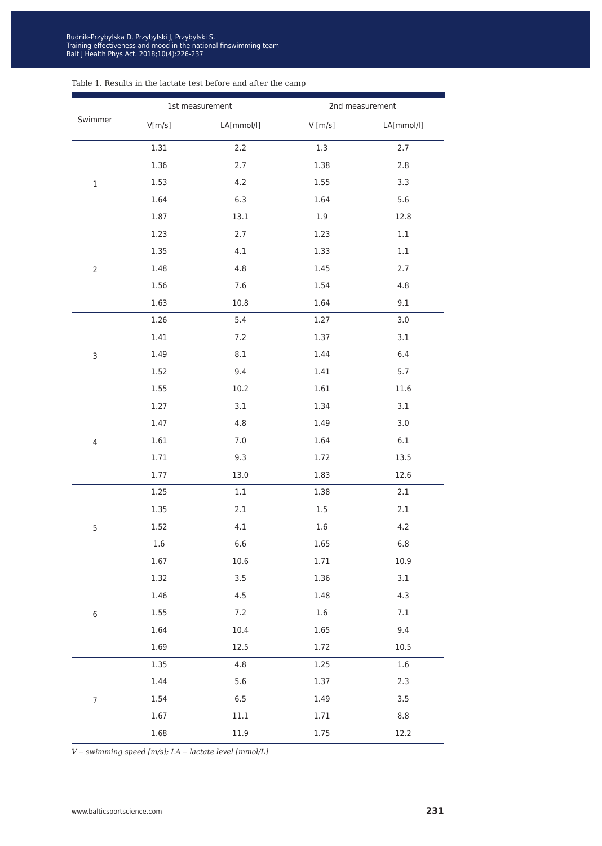#### Table 1. Results in the lactate test before and after the camp

|                  |         | 1st measurement | 2nd measurement |            |  |  |  |
|------------------|---------|-----------------|-----------------|------------|--|--|--|
| Swimmer          | V[m/s]  | LA[mmol/l]      | $V$ [m/s]       | LA[mmol/l] |  |  |  |
| $\mathbf 1$      | 1.31    | 2.2             | 1.3             | 2.7        |  |  |  |
|                  | 1.36    | 2.7             | 1.38            | $2.8$      |  |  |  |
|                  | 1.53    | 4.2             | 1.55            | 3.3        |  |  |  |
|                  | 1.64    | 6.3             | 1.64            | 5.6        |  |  |  |
|                  | 1.87    | 13.1            | $1.9\,$         | 12.8       |  |  |  |
|                  | 1.23    | 2.7             | 1.23            | $1.1\,$    |  |  |  |
|                  | 1.35    | 4.1             | 1.33            | $1.1\,$    |  |  |  |
| $\overline{2}$   | 1.48    | 4.8             | 1.45            | 2.7        |  |  |  |
|                  | 1.56    | 7.6             | 1.54            | $4.8\,$    |  |  |  |
|                  | 1.63    | 10.8            | 1.64            | 9.1        |  |  |  |
| 3                | 1.26    | 5.4             | 1.27            | 3.0        |  |  |  |
|                  | 1.41    | 7.2             | 1.37            | 3.1        |  |  |  |
|                  | 1.49    | 8.1             | 1.44            | 6.4        |  |  |  |
|                  | 1.52    | 9.4             | 1.41            | 5.7        |  |  |  |
|                  | 1.55    | 10.2            | 1.61            | 11.6       |  |  |  |
|                  | 1.27    | 3.1             | 1.34            | 3.1        |  |  |  |
|                  | 1.47    | 4.8             | 1.49            | 3.0        |  |  |  |
| $\overline{4}$   | 1.61    | $7.0$           | 1.64            | $6.1\,$    |  |  |  |
|                  | 1.71    | 9.3             | 1.72            | 13.5       |  |  |  |
|                  | 1.77    | 13.0            | 1.83            | 12.6       |  |  |  |
| $\mathsf S$      | 1.25    | $1.1\,$         | 1.38            | 2.1        |  |  |  |
|                  | 1.35    | $2.1\,$         | $1.5\,$         | 2.1        |  |  |  |
|                  | 1.52    | 4.1             | 1.6             | 4.2        |  |  |  |
|                  | $1.6\,$ | 6.6             | 1.65            | 6.8        |  |  |  |
|                  | 1.67    | 10.6            | 1.71            | 10.9       |  |  |  |
|                  | 1.32    | 3.5             | 1.36            | 3.1        |  |  |  |
|                  | 1.46    | 4.5             | 1.48            | 4.3        |  |  |  |
| $\,$ 6 $\,$      | 1.55    | 7.2             | 1.6             | $7.1\,$    |  |  |  |
|                  | 1.64    | 10.4            | 1.65            | 9.4        |  |  |  |
|                  | 1.69    | 12.5            | 1.72            | 10.5       |  |  |  |
|                  | 1.35    | 4.8             | 1.25            | $1.6\,$    |  |  |  |
| $\boldsymbol{7}$ | 1.44    | 5.6             | 1.37            | 2.3        |  |  |  |
|                  | 1.54    | $6.5$           | 1.49            | 3.5        |  |  |  |
|                  | 1.67    | $11.1\,$        | 1.71            | $8.8\,$    |  |  |  |
|                  | 1.68    | 11.9            | 1.75            | 12.2       |  |  |  |

*V ‒ swimming speed [m/s]; LA ‒ lactate level [mmol/L]*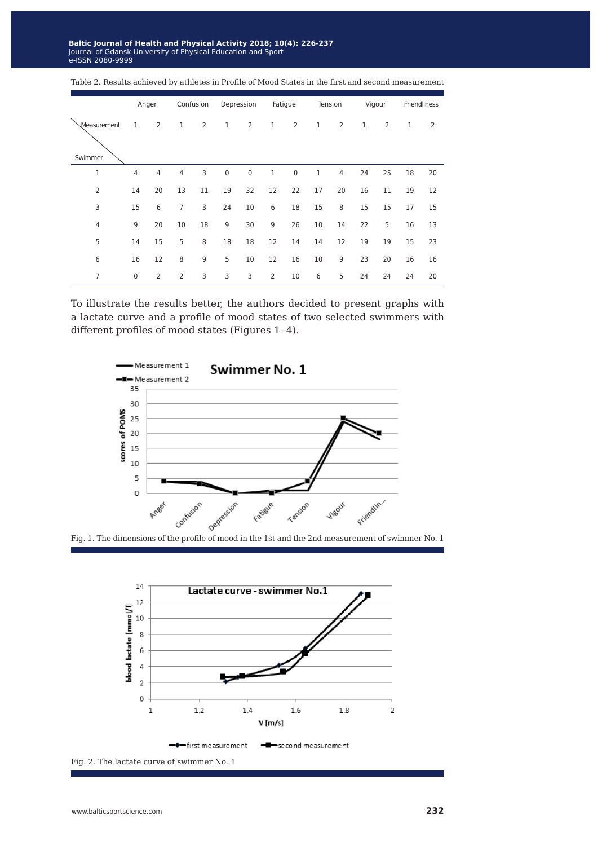**laltic Journal of Health and Physical Activity 2018; 10(4): 22(** Journal of Gdansk University of Physical Education and Sport e-ISSN 2080-9999 **Baltic Journal of Health and Physical Activity 2018; 10(4): 226-237** Journal of Gdansk University of Physical Education and Sport e-ISSN 2080-9999

|                        |                | Anger          |                | Confusion |             | Depression     |                | Fatigue        |    | Tension        |              | Vigour         |    | Friendliness   |
|------------------------|----------------|----------------|----------------|-----------|-------------|----------------|----------------|----------------|----|----------------|--------------|----------------|----|----------------|
| Measurement<br>Swimmer | $\mathbf{1}$   | $\overline{2}$ | 1              | 2         | $\mathbf 1$ | $\overline{2}$ | $1\,$          | $\overline{2}$ | 1  | $\overline{2}$ | $\mathbf{1}$ | $\overline{2}$ | 1  | $\overline{2}$ |
| $\mathbf{1}$           | $\overline{4}$ | $\overline{4}$ | $\overline{4}$ | 3         | $\mathbf 0$ | $\pmb{0}$      | $1\,$          | $\bf 0$        | 1  | $\overline{4}$ | 24           | 25             | 18 | 20             |
| 2                      | 14             | 20             | 13             | 11        | 19          | 32             | 12             | 22             | 17 | 20             | 16           | 11             | 19 | 12             |
| 3                      | 15             | 6              | 7              | 3         | 24          | 10             | 6              | 18             | 15 | 8              | 15           | 15             | 17 | 15             |
| 4                      | 9              | 20             | 10             | 18        | 9           | 30             | 9              | 26             | 10 | 14             | 22           | 5              | 16 | 13             |
| 5                      | 14             | 15             | 5              | 8         | 18          | 18             | 12             | 14             | 14 | 12             | 19           | 19             | 15 | 23             |
| 6                      | 16             | 12             | 8              | 9         | 5           | 10             | 12             | 16             | 10 | 9              | 23           | 20             | 16 | 16             |
| 7                      | 0              | $\overline{2}$ | $\overline{2}$ | 3         | 3           | 3              | $\overline{2}$ | 10             | 6  | 5              | 24           | 24             | 24 | 20             |

Table 2. Results achieved by athletes in Profile of Mood States in the first and second measurement

To illustrate the results better, the authors decided to present graphs with a lactate curve and a profile of mood states of two selected swimmers with different profiles of mood states (Figures 1-4).



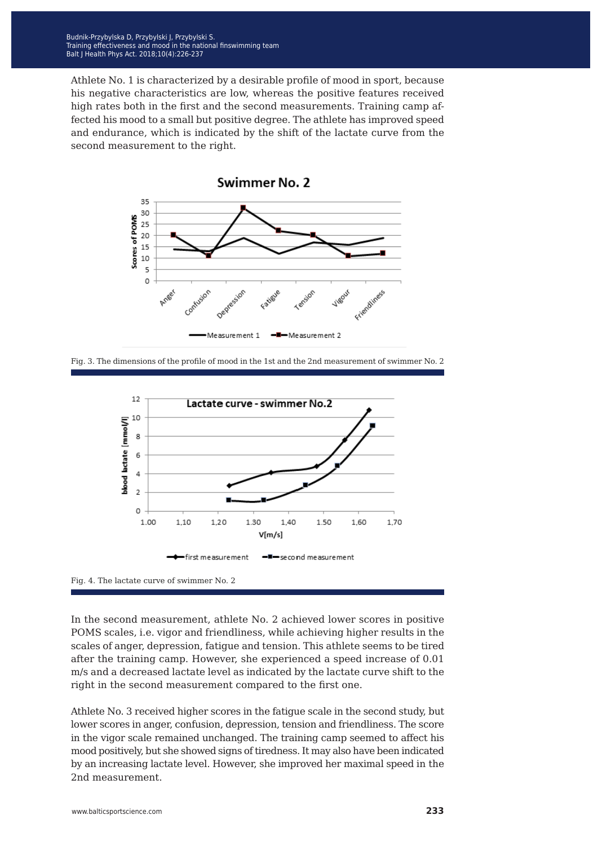Athlete No. 1 is characterized by a desirable profile of mood in sport, because his negative characteristics are low, whereas the positive features received high rates both in the first and the second measurements. Training camp affected his mood to a small but positive degree. The athlete has improved speed and endurance, which is indicated by the shift of the lactate curve from the second measurement to the right.



Fig. 3. The dimensions of the profile of mood in the 1st and the 2nd measurement of swimmer No. 2



Fig. 4. The lactate curve of swimmer No. 2

In the second measurement, athlete No. 2 achieved lower scores in positive POMS scales, i.e. vigor and friendliness, while achieving higher results in the scales of anger, depression, fatigue and tension. This athlete seems to be tired after the training camp. However, she experienced a speed increase of 0.01 m/s and a decreased lactate level as indicated by the lactate curve shift to the right in the second measurement compared to the first one.

Athlete No. 3 received higher scores in the fatigue scale in the second study, but lower scores in anger, confusion, depression, tension and friendliness. The score in the vigor scale remained unchanged. The training camp seemed to affect his mood positively, but she showed signs of tiredness. It may also have been indicated by an increasing lactate level. However, she improved her maximal speed in the 2nd measurement.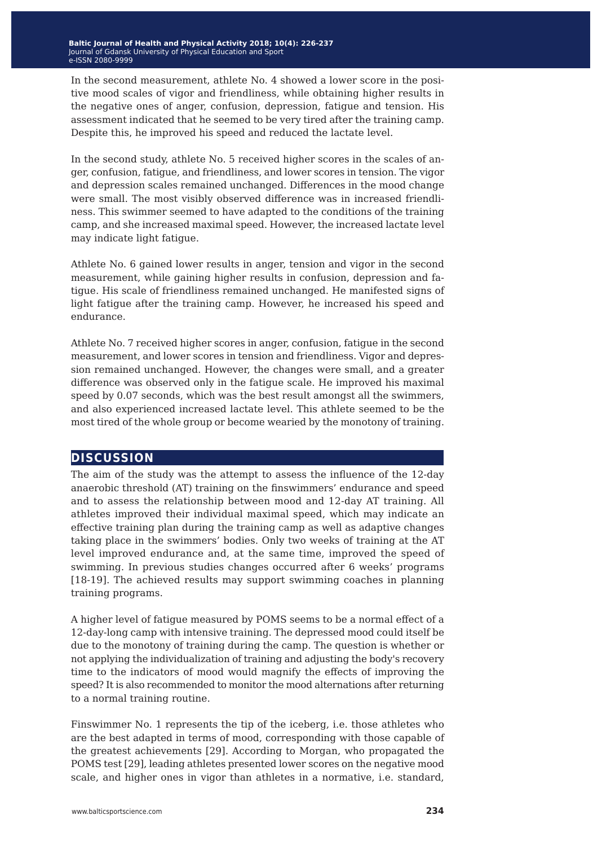In the second measurement, athlete No. 4 showed a lower score in the positive mood scales of vigor and friendliness, while obtaining higher results in the negative ones of anger, confusion, depression, fatigue and tension. His assessment indicated that he seemed to be very tired after the training camp. Despite this, he improved his speed and reduced the lactate level.

In the second study, athlete No. 5 received higher scores in the scales of anger, confusion, fatigue, and friendliness, and lower scores in tension. The vigor and depression scales remained unchanged. Differences in the mood change were small. The most visibly observed difference was in increased friendliness. This swimmer seemed to have adapted to the conditions of the training camp, and she increased maximal speed. However, the increased lactate level may indicate light fatigue.

Athlete No. 6 gained lower results in anger, tension and vigor in the second measurement, while gaining higher results in confusion, depression and fatigue. His scale of friendliness remained unchanged. He manifested signs of light fatigue after the training camp. However, he increased his speed and endurance.

Athlete No. 7 received higher scores in anger, confusion, fatigue in the second measurement, and lower scores in tension and friendliness. Vigor and depression remained unchanged. However, the changes were small, and a greater difference was observed only in the fatigue scale. He improved his maximal speed by 0.07 seconds, which was the best result amongst all the swimmers, and also experienced increased lactate level. This athlete seemed to be the most tired of the whole group or become wearied by the monotony of training.

# **discussion**

The aim of the study was the attempt to assess the influence of the 12-day anaerobic threshold (AT) training on the finswimmers' endurance and speed and to assess the relationship between mood and 12-day AT training. All athletes improved their individual maximal speed, which may indicate an effective training plan during the training camp as well as adaptive changes taking place in the swimmers' bodies. Only two weeks of training at the AT level improved endurance and, at the same time, improved the speed of swimming. In previous studies changes occurred after 6 weeks' programs [18-19]. The achieved results may support swimming coaches in planning training programs.

A higher level of fatigue measured by POMS seems to be a normal effect of a 12-day-long camp with intensive training. The depressed mood could itself be due to the monotony of training during the camp. The question is whether or not applying the individualization of training and adjusting the body's recovery time to the indicators of mood would magnify the effects of improving the speed? It is also recommended to monitor the mood alternations after returning to a normal training routine.

Finswimmer No. 1 represents the tip of the iceberg, i.e. those athletes who are the best adapted in terms of mood, corresponding with those capable of the greatest achievements [29]. According to Morgan, who propagated the POMS test [29], leading athletes presented lower scores on the negative mood scale, and higher ones in vigor than athletes in a normative, i.e. standard,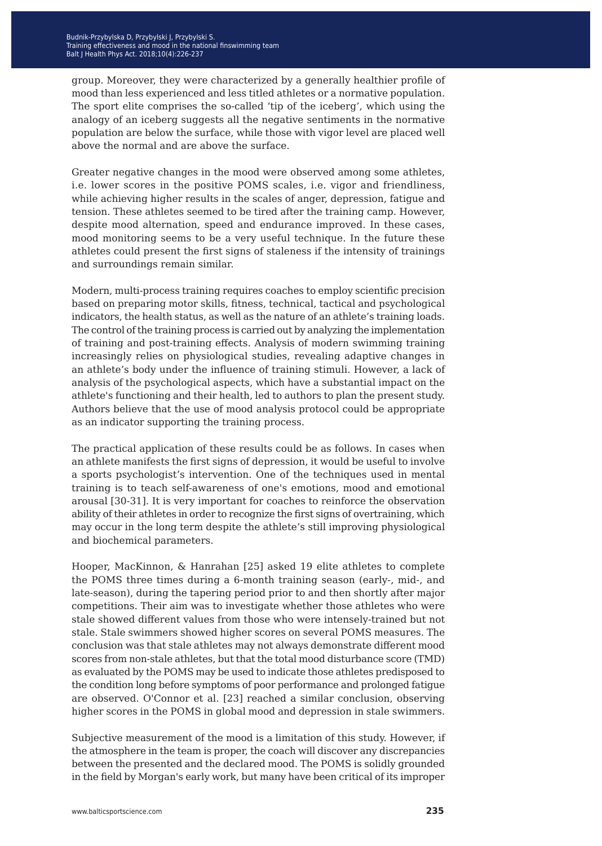group. Moreover, they were characterized by a generally healthier profile of mood than less experienced and less titled athletes or a normative population. The sport elite comprises the so-called 'tip of the iceberg', which using the analogy of an iceberg suggests all the negative sentiments in the normative population are below the surface, while those with vigor level are placed well above the normal and are above the surface.

Greater negative changes in the mood were observed among some athletes, i.e. lower scores in the positive POMS scales, i.e. vigor and friendliness, while achieving higher results in the scales of anger, depression, fatigue and tension. These athletes seemed to be tired after the training camp. However, despite mood alternation, speed and endurance improved. In these cases, mood monitoring seems to be a very useful technique. In the future these athletes could present the first signs of staleness if the intensity of trainings and surroundings remain similar.

Modern, multi-process training requires coaches to employ scientific precision based on preparing motor skills, fitness, technical, tactical and psychological indicators, the health status, as well as the nature of an athlete's training loads. The control of the training process is carried out by analyzing the implementation of training and post-training effects. Analysis of modern swimming training increasingly relies on physiological studies, revealing adaptive changes in an athlete's body under the influence of training stimuli. However, a lack of analysis of the psychological aspects, which have a substantial impact on the athlete's functioning and their health, led to authors to plan the present study. Authors believe that the use of mood analysis protocol could be appropriate as an indicator supporting the training process.

The practical application of these results could be as follows. In cases when an athlete manifests the first signs of depression, it would be useful to involve a sports psychologist's intervention. One of the techniques used in mental training is to teach self-awareness of one's emotions, mood and emotional arousal [30-31]. It is very important for coaches to reinforce the observation ability of their athletes in order to recognize the first signs of overtraining, which may occur in the long term despite the athlete's still improving physiological and biochemical parameters.

Hooper, MacKinnon, & Hanrahan [25] asked 19 elite athletes to complete the POMS three times during a 6-month training season (early-, mid-, and late-season), during the tapering period prior to and then shortly after major competitions. Their aim was to investigate whether those athletes who were stale showed different values from those who were intensely-trained but not stale. Stale swimmers showed higher scores on several POMS measures. The conclusion was that stale athletes may not always demonstrate different mood scores from non-stale athletes, but that the total mood disturbance score (TMD) as evaluated by the POMS may be used to indicate those athletes predisposed to the condition long before symptoms of poor performance and prolonged fatigue are observed. O'Connor et al. [23] reached a similar conclusion, observing higher scores in the POMS in global mood and depression in stale swimmers.

Subjective measurement of the mood is a limitation of this study. However, if the atmosphere in the team is proper, the coach will discover any discrepancies between the presented and the declared mood. The POMS is solidly grounded in the field by Morgan's early work, but many have been critical of its improper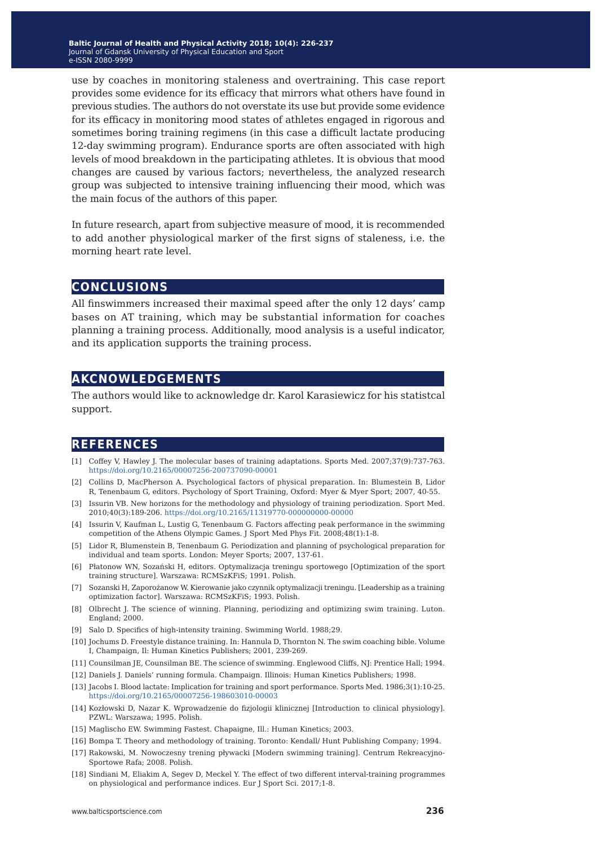use by coaches in monitoring staleness and overtraining. This case report provides some evidence for its efficacy that mirrors what others have found in previous studies. The authors do not overstate its use but provide some evidence for its efficacy in monitoring mood states of athletes engaged in rigorous and sometimes boring training regimens (in this case a difficult lactate producing 12-day swimming program). Endurance sports are often associated with high levels of mood breakdown in the participating athletes. It is obvious that mood changes are caused by various factors; nevertheless, the analyzed research group was subjected to intensive training influencing their mood, which was the main focus of the authors of this paper.

In future research, apart from subjective measure of mood, it is recommended to add another physiological marker of the first signs of staleness, i.e. the morning heart rate level.

#### **conclusions**

All finswimmers increased their maximal speed after the only 12 days' camp bases on AT training, which may be substantial information for coaches planning a training process. Additionally, mood analysis is a useful indicator, and its application supports the training process.

### **akcnowledgements**

The authors would like to acknowledge dr. Karol Karasiewicz for his statistcal support.

# **references**

- [1] Coffey V, Hawley J. The molecular bases of training adaptations. Sports Med. 2007;37(9):737-763. <https://doi.org/10.2165/00007256-200737090-00001>
- [2] Collins D, MacPherson A. Psychological factors of physical preparation. In: Blumestein B, Lidor R, Tenenbaum G, editors. Psychology of Sport Training, Oxford: Myer & Myer Sport; 2007, 40-55.
- [3] Issurin VB. New horizons for the methodology and physiology of training periodization. Sport Med. 2010;40(3):189-206. <https://doi.org/10.2165/11319770-000000000-00000>
- [4] Issurin V, Kaufman L, Lustig G, Tenenbaum G. Factors affecting peak performance in the swimming competition of the Athens Olympic Games. J Sport Med Phys Fit. 2008;48(1):1-8.
- [5] Lidor R, Blumenstein B, Tenenbaum G. Periodization and planning of psychological preparation for individual and team sports. London: Meyer Sports; 2007, 137-61.
- [6] Płatonow WN, Sozański H, editors. Optymalizacja treningu sportowego [Optimization of the sport training structure]. Warszawa: RCMSzKFiS; 1991. Polish.
- [7] Sozanski H, Zaporożanow W. Kierowanie jako czynnik optymalizacji treningu. [Leadership as a training optimization factor]. Warszawa: RCMSzKFiS; 1993. Polish.
- [8] Olbrecht J. The science of winning. Planning, periodizing and optimizing swim training. Luton. England; 2000.
- [9] Salo D. Specifics of high-intensity training. Swimming World. 1988;29.
- [10] Jochums D. Freestyle distance training. In: Hannula D, Thornton N. The swim coaching bible. Volume I, Champaign, Il: Human Kinetics Publishers; 2001, 239-269.
- [11] Counsilman JE, Counsilman BE. The science of swimming. Englewood Cliffs, NJ: Prentice Hall; 1994.
- [12] Daniels J. Daniels' running formula. Champaign. Illinois: Human Kinetics Publishers; 1998.
- [13] Jacobs I. Blood lactate: Implication for training and sport performance. Sports Med. 1986;3(1):10-25. <https://doi.org/10.2165/00007256-198603010-00003>
- [14] Kozłowski D, Nazar K. Wprowadzenie do fizjologii klinicznej [Introduction to clinical physiology]. PZWL: Warszawa; 1995. Polish.
- [15] Maglischo EW. Swimming Fastest. Chapaigne, Ill.: Human Kinetics; 2003.
- [16] Bompa T. Theory and methodology of training. Toronto: Kendall/ Hunt Publishing Company; 1994.
- [17] Rakowski, M. Nowoczesny trening pływacki [Modern swimming training]. Centrum Rekreacyjno-Sportowe Rafa; 2008. Polish.
- [18] Sindiani M, Eliakim A, Segev D, Meckel Y. The effect of two different interval-training programmes on physiological and performance indices. Eur J Sport Sci. 2017;1-8.